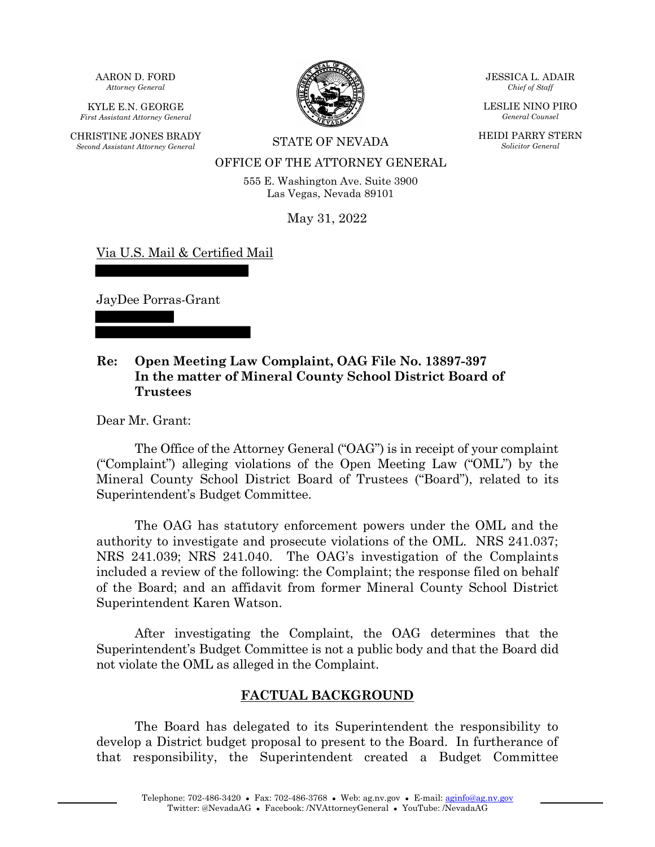AARON D. FORD *Attorney General*

KYLE E.N. GEORGE *First Assistant Attorney General*

CHRISTINE JONES BRADY<br>Second Assistant Attorney General



JESSICA L. ADAIR *Chief of Staff*

LESLIE NINO PIRO *General Counsel*

HEIDI PARRY STERN *Solicitor General*

*Second Assistant Attorney General* STATE OF NEVADA

OFFICE OF THE ATTORNEY GENERAL

555 E. Washington Ave. Suite 3900 Las Vegas, Nevada 89101

May 31, 2022

Via U.S. Mail & Certified Mail

JayDee Porras-Grant

## **Re: Open Meeting Law Complaint, OAG File No. 13897-397 In the matter of Mineral County School District Board of Trustees**

Dear Mr. Grant:

The Office of the Attorney General ("OAG") is in receipt of your complaint ("Complaint") alleging violations of the Open Meeting Law ("OML") by the Mineral County School District Board of Trustees ("Board"), related to its Superintendent's Budget Committee.

The OAG has statutory enforcement powers under the OML and the authority to investigate and prosecute violations of the OML. NRS 241.037; NRS 241.039; NRS 241.040. The OAG's investigation of the Complaints included a review of the following: the Complaint; the response filed on behalf of the Board; and an affidavit from former Mineral County School District Superintendent Karen Watson.

After investigating the Complaint, the OAG determines that the Superintendent's Budget Committee is not a public body and that the Board did not violate the OML as alleged in the Complaint.

# **FACTUAL BACKGROUND**

The Board has delegated to its Superintendent the responsibility to develop a District budget proposal to present to the Board. In furtherance of that responsibility, the Superintendent created a Budget Committee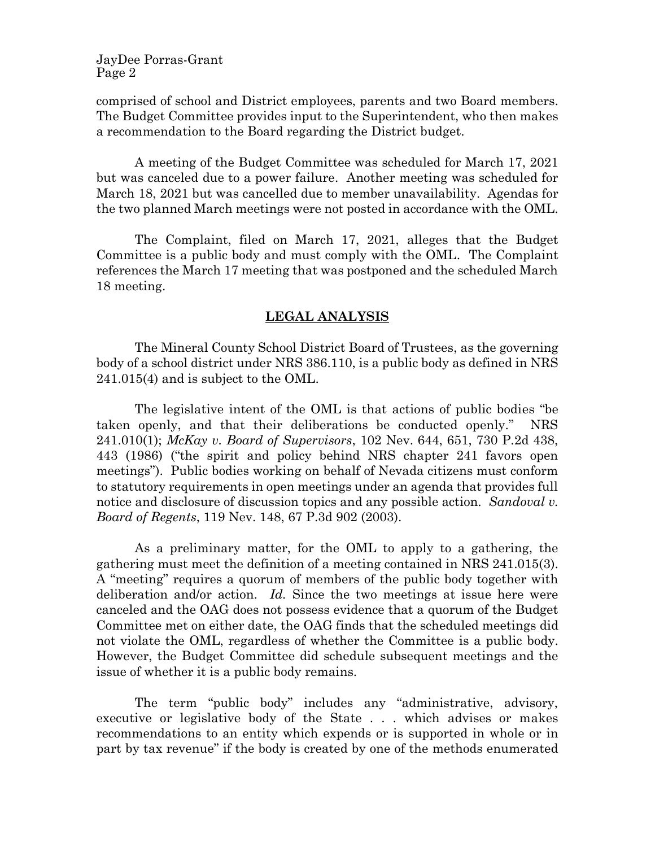#### JayDee Porras-Grant Page 2

comprised of school and District employees, parents and two Board members. The Budget Committee provides input to the Superintendent, who then makes a recommendation to the Board regarding the District budget.

A meeting of the Budget Committee was scheduled for March 17, 2021 but was canceled due to a power failure. Another meeting was scheduled for March 18, 2021 but was cancelled due to member unavailability. Agendas for the two planned March meetings were not posted in accordance with the OML.

The Complaint, filed on March 17, 2021, alleges that the Budget Committee is a public body and must comply with the OML. The Complaint references the March 17 meeting that was postponed and the scheduled March 18 meeting.

## **LEGAL ANALYSIS**

The Mineral County School District Board of Trustees, as the governing body of a school district under NRS 386.110, is a public body as defined in NRS 241.015(4) and is subject to the OML.

The legislative intent of the OML is that actions of public bodies "be taken openly, and that their deliberations be conducted openly." NRS 241.010(1); *McKay v. Board of Supervisors*, 102 Nev. 644, 651, 730 P.2d 438, 443 (1986) ("the spirit and policy behind NRS chapter 241 favors open meetings"). Public bodies working on behalf of Nevada citizens must conform to statutory requirements in open meetings under an agenda that provides full notice and disclosure of discussion topics and any possible action. *Sandoval v. Board of Regents*, 119 Nev. 148, 67 P.3d 902 (2003).

As a preliminary matter, for the OML to apply to a gathering, the gathering must meet the definition of a meeting contained in NRS 241.015(3). A "meeting" requires a quorum of members of the public body together with deliberation and/or action. *Id.* Since the two meetings at issue here were canceled and the OAG does not possess evidence that a quorum of the Budget Committee met on either date, the OAG finds that the scheduled meetings did not violate the OML, regardless of whether the Committee is a public body. However, the Budget Committee did schedule subsequent meetings and the issue of whether it is a public body remains.

The term "public body" includes any "administrative, advisory, executive or legislative body of the State . . . which advises or makes recommendations to an entity which expends or is supported in whole or in part by tax revenue" if the body is created by one of the methods enumerated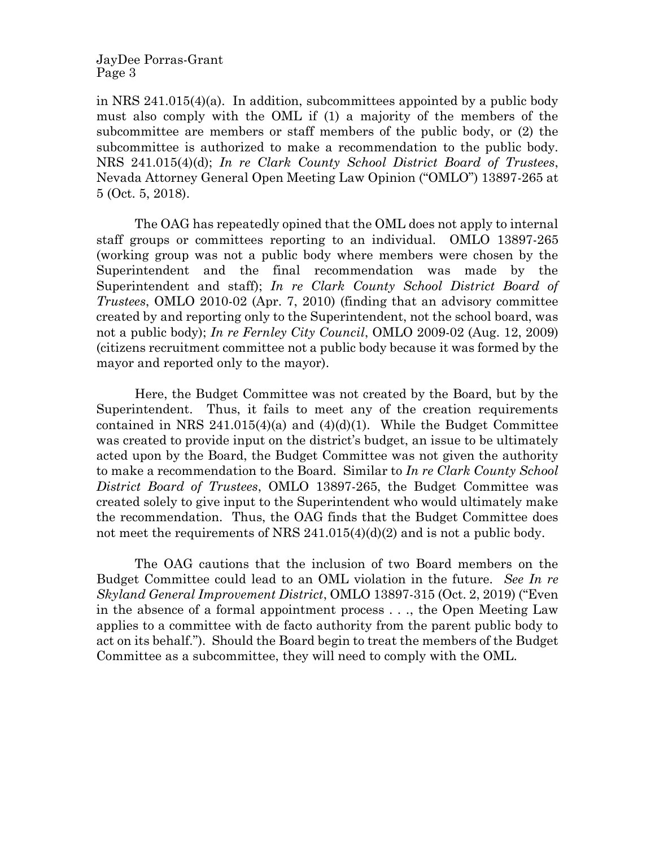#### JayDee Porras-Grant Page 3

in NRS 241.015(4)(a). In addition, subcommittees appointed by a public body must also comply with the OML if (1) a majority of the members of the subcommittee are members or staff members of the public body, or (2) the subcommittee is authorized to make a recommendation to the public body. NRS 241.015(4)(d); *In re Clark County School District Board of Trustees*, Nevada Attorney General Open Meeting Law Opinion ("OMLO") 13897-265 at 5 (Oct. 5, 2018).

The OAG has repeatedly opined that the OML does not apply to internal staff groups or committees reporting to an individual. OMLO 13897-265 (working group was not a public body where members were chosen by the Superintendent and the final recommendation was made by the Superintendent and staff); *In re Clark County School District Board of Trustees*, OMLO 2010-02 (Apr. 7, 2010) (finding that an advisory committee created by and reporting only to the Superintendent, not the school board, was not a public body); *In re Fernley City Council*, OMLO 2009-02 (Aug. 12, 2009) (citizens recruitment committee not a public body because it was formed by the mayor and reported only to the mayor).

Here, the Budget Committee was not created by the Board, but by the Superintendent. Thus, it fails to meet any of the creation requirements contained in NRS 241.015(4)(a) and (4)(d)(1). While the Budget Committee was created to provide input on the district's budget, an issue to be ultimately acted upon by the Board, the Budget Committee was not given the authority to make a recommendation to the Board. Similar to *In re Clark County School District Board of Trustees*, OMLO 13897-265, the Budget Committee was created solely to give input to the Superintendent who would ultimately make the recommendation. Thus, the OAG finds that the Budget Committee does not meet the requirements of NRS  $241.015(4)(d)(2)$  and is not a public body.

The OAG cautions that the inclusion of two Board members on the Budget Committee could lead to an OML violation in the future. *See In re Skyland General Improvement District*, OMLO 13897-315 (Oct. 2, 2019) ("Even in the absence of a formal appointment process . . ., the Open Meeting Law applies to a committee with de facto authority from the parent public body to act on its behalf."). Should the Board begin to treat the members of the Budget Committee as a subcommittee, they will need to comply with the OML.